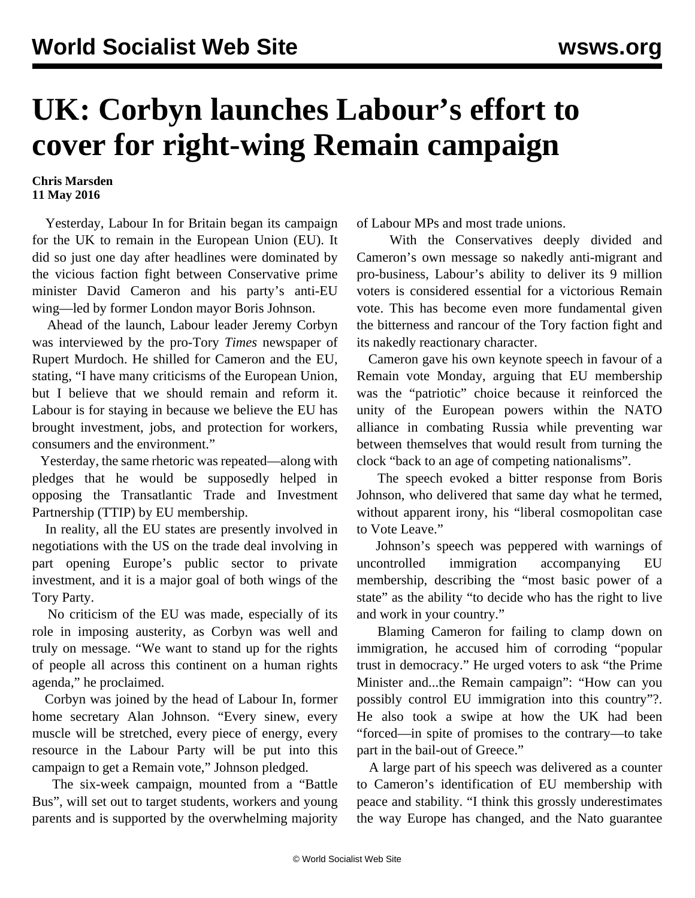## **UK: Corbyn launches Labour's effort to cover for right-wing Remain campaign**

## **Chris Marsden 11 May 2016**

 Yesterday, Labour In for Britain began its campaign for the UK to remain in the European Union (EU). It did so just one day after headlines were dominated by the vicious faction fight between Conservative prime minister David Cameron and his party's anti-EU wing—led by former London mayor Boris Johnson.

 Ahead of the launch, Labour leader Jeremy Corbyn was interviewed by the pro-Tory *Times* newspaper of Rupert Murdoch. He shilled for Cameron and the EU, stating, "I have many criticisms of the European Union, but I believe that we should remain and reform it. Labour is for staying in because we believe the EU has brought investment, jobs, and protection for workers, consumers and the environment."

 Yesterday, the same rhetoric was repeated—along with pledges that he would be supposedly helped in opposing the Transatlantic Trade and Investment Partnership (TTIP) by EU membership.

 In reality, all the EU states are presently involved in negotiations with the US on the trade deal involving in part opening Europe's public sector to private investment, and it is a major goal of both wings of the Tory Party.

 No criticism of the EU was made, especially of its role in imposing austerity, as Corbyn was well and truly on message. "We want to stand up for the rights of people all across this continent on a human rights agenda," he proclaimed.

 Corbyn was joined by the head of Labour In, former home secretary Alan Johnson. "Every sinew, every muscle will be stretched, every piece of energy, every resource in the Labour Party will be put into this campaign to get a Remain vote," Johnson pledged.

 The six-week campaign, mounted from a "Battle Bus", will set out to target students, workers and young parents and is supported by the overwhelming majority of Labour MPs and most trade unions.

 With the Conservatives deeply divided and Cameron's own message so nakedly anti-migrant and pro-business, Labour's ability to deliver its 9 million voters is considered essential for a victorious Remain vote. This has become even more fundamental given the bitterness and rancour of the Tory faction fight and its nakedly reactionary character.

 Cameron gave his own keynote speech in favour of a Remain vote Monday, arguing that EU membership was the "patriotic" choice because it reinforced the unity of the European powers within the NATO alliance in combating Russia while preventing war between themselves that would result from turning the clock "back to an age of competing nationalisms".

 The speech evoked a bitter response from Boris Johnson, who delivered that same day what he termed, without apparent irony, his "liberal cosmopolitan case to Vote Leave."

 Johnson's speech was peppered with warnings of uncontrolled immigration accompanying EU membership, describing the "most basic power of a state" as the ability "to decide who has the right to live and work in your country."

 Blaming Cameron for failing to clamp down on immigration, he accused him of corroding "popular trust in democracy." He urged voters to ask "the Prime Minister and...the Remain campaign": "How can you possibly control EU immigration into this country"?. He also took a swipe at how the UK had been "forced—in spite of promises to the contrary—to take part in the bail-out of Greece."

 A large part of his speech was delivered as a counter to Cameron's identification of EU membership with peace and stability. "I think this grossly underestimates the way Europe has changed, and the Nato guarantee